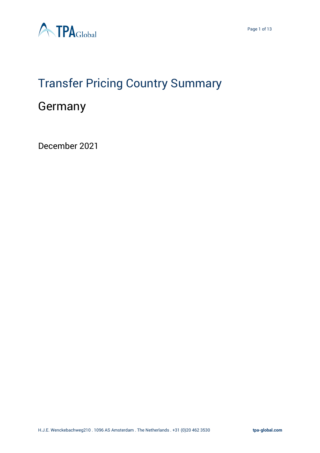

# Transfer Pricing Country Summary

# Germany

December 2021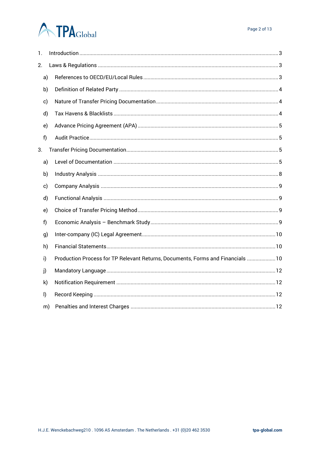# **ATPA**Global

| 1.           |    |                                                                                |  |  |  |  |  |
|--------------|----|--------------------------------------------------------------------------------|--|--|--|--|--|
| 2.           |    |                                                                                |  |  |  |  |  |
|              | a) |                                                                                |  |  |  |  |  |
|              | b) |                                                                                |  |  |  |  |  |
| c)           |    |                                                                                |  |  |  |  |  |
|              | d) |                                                                                |  |  |  |  |  |
| e)           |    |                                                                                |  |  |  |  |  |
| f)           |    |                                                                                |  |  |  |  |  |
| 3.           |    |                                                                                |  |  |  |  |  |
|              | a) |                                                                                |  |  |  |  |  |
|              | b) |                                                                                |  |  |  |  |  |
| c)           |    |                                                                                |  |  |  |  |  |
|              | d) |                                                                                |  |  |  |  |  |
|              | e) |                                                                                |  |  |  |  |  |
| f            |    |                                                                                |  |  |  |  |  |
| g)           |    |                                                                                |  |  |  |  |  |
|              | h) |                                                                                |  |  |  |  |  |
| i)           |    | Production Process for TP Relevant Returns, Documents, Forms and Financials 10 |  |  |  |  |  |
| j)           |    |                                                                                |  |  |  |  |  |
| $\mathsf{k}$ |    |                                                                                |  |  |  |  |  |
| $\mathsf{I}$ |    |                                                                                |  |  |  |  |  |
|              | m) |                                                                                |  |  |  |  |  |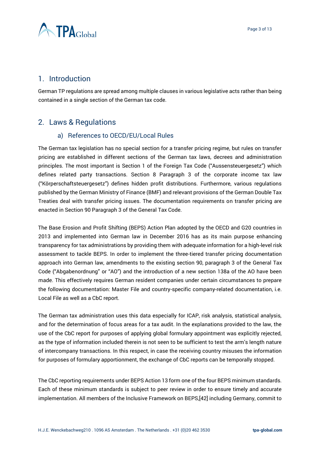

# <span id="page-2-0"></span>1. Introduction

German TP regulations are spread among multiple clauses in various legislative acts rather than being contained in a single section of the German tax code.

# <span id="page-2-2"></span><span id="page-2-1"></span>2. Laws & Regulations

### a) References to OECD/EU/Local Rules

The German tax legislation has no special section for a transfer pricing regime, but rules on transfer pricing are established in different sections of the German tax laws, decrees and administration principles. The most important is Section 1 of the Foreign Tax Code ("Aussensteuergesetz") which defines related party transactions. Section 8 Paragraph 3 of the corporate income tax law ("Körperschaftsteuergesetz") defines hidden profit distributions. Furthermore, various regulations published by the German Ministry of Finance (BMF) and relevant provisions of the German Double Tax Treaties deal with transfer pricing issues. The documentation requirements on transfer pricing are enacted in Section 90 Paragraph 3 of the General Tax Code.

The Base Erosion and Profit Shifting (BEPS) Action Plan adopted by the OECD and G20 countries in 2013 and implemented into German law in December 2016 has as its main purpose enhancing transparency for tax administrations by providing them with adequate information for a high-level risk assessment to tackle BEPS. In order to implement the three-tiered transfer pricing documentation approach into German law, amendments to the existing section 90, paragraph 3 of the General Tax Code ("Abgabenordnung" or "AO") and the introduction of a new section 138a of the AO have been made. This effectively requires German resident companies under certain circumstances to prepare the following documentation: Master File and country-specific company-related documentation, i.e. Local File as well as a CbC report.

The German tax administration uses this data especially for ICAP, risk analysis, statistical analysis, and for the determination of focus areas for a tax audit. In the explanations provided to the law, the use of the CbC report for purposes of applying global formulary appointment was explicitly rejected, as the type of information included therein is not seen to be sufficient to test the arm's length nature of intercompany transactions. In this respect, in case the receiving country misuses the information for purposes of formulary apportionment, the exchange of CbC reports can be temporally stopped.

The CbC reporting requirements under BEPS Action 13 form one of the four BEPS minimum standards. Each of these minimum standards is subject to peer review in order to ensure timely and accurate implementation. All members of the Inclusive Framework on BEPS,[42] including Germany, commit to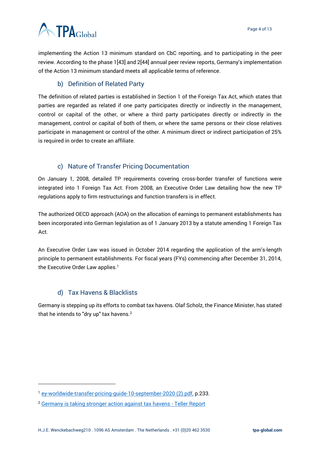# **ATPA**Global

implementing the Action 13 minimum standard on CbC reporting, and to participating in the peer review. According to the phase 1[43] and 2[44] annual peer review reports, Germany's implementation of the Action 13 minimum standard meets all applicable terms of reference.

## b) Definition of Related Party

<span id="page-3-0"></span>The definition of related parties is established in Section 1 of the Foreign Tax Act, which states that parties are regarded as related if one party participates directly or indirectly in the management, control or capital of the other, or where a third party participates directly or indirectly in the management, control or capital of both of them, or where the same persons or their close relatives participate in management or control of the other. A minimum direct or indirect participation of 25% is required in order to create an affiliate.

### c) Nature of Transfer Pricing Documentation

<span id="page-3-1"></span>On January 1, 2008, detailed TP requirements covering cross-border transfer of functions were integrated into 1 Foreign Tax Act. From 2008, an Executive Order Law detailing how the new TP regulations apply to firm restructurings and function transfers is in effect.

The authorized OECD approach (AOA) on the allocation of earnings to permanent establishments has been incorporated into German legislation as of 1 January 2013 by a statute amending 1 Foreign Tax Act.

An Executive Order Law was issued in October 2014 regarding the application of the arm's-length principle to permanent establishments. For fiscal years (FYs) commencing after December 31, 2014, the Executive Order Law applies.<sup>1</sup>

# d) Tax Havens & Blacklists

<span id="page-3-2"></span>Germany is stepping up its efforts to combat tax havens. Olaf Scholz, the Finance Minister, has stated that he intends to "dry up" tax havens.<sup>2</sup>

<sup>1</sup> [ey-worldwide-transfer-pricing-guide-10-september-2020 \(2\).pdf,](file:///C:/Users/m.pereira/OneDrive%20-%20TPA%20Global/Country%20Summary/ey-worldwide-transfer-pricing-guide-10-september-2020%20(2).pdf) p.233.

<sup>2</sup> [Germany is taking stronger action against tax havens -](https://www.tellerreport.com/news/2021-03-31-germany-is-taking-stronger-action-against-tax-havens.BkGD3KZMH_.html) Teller Report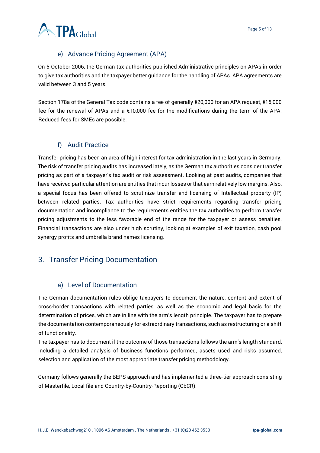

### e) Advance Pricing Agreement (APA)

<span id="page-4-0"></span>On 5 October 2006, the German tax authorities published Administrative principles on APAs in order to give tax authorities and the taxpayer better guidance for the handling of APAs. APA agreements are valid between 3 and 5 years.

Section 178a of the General Tax code contains a fee of generally €20,000 for an APA request, €15,000 fee for the renewal of APAs and a €10,000 fee for the modifications during the term of the APA. Reduced fees for SMEs are possible.

### f) Audit Practice

<span id="page-4-1"></span>Transfer pricing has been an area of high interest for tax administration in the last years in Germany. The risk of transfer pricing audits has increased lately, as the German tax authorities consider transfer pricing as part of a taxpayer's tax audit or risk assessment. Looking at past audits, companies that have received particular attention are entities that incur losses or that earn relatively low margins. Also, a special focus has been offered to scrutinize transfer and licensing of Intellectual property (IP) between related parties. Tax authorities have strict requirements regarding transfer pricing documentation and incompliance to the requirements entities the tax authorities to perform transfer pricing adjustments to the less favorable end of the range for the taxpayer or assess penalties. Financial transactions are also under high scrutiny, looking at examples of exit taxation, cash pool synergy profits and umbrella brand names licensing.

# <span id="page-4-2"></span>3. Transfer Pricing Documentation

### a) Level of Documentation

<span id="page-4-3"></span>The German documentation rules oblige taxpayers to document the nature, content and extent of cross-border transactions with related parties, as well as the economic and legal basis for the determination of prices, which are in line with the arm's length principle. The taxpayer has to prepare the documentation contemporaneously for extraordinary transactions, such as restructuring or a shift of functionality.

The taxpayer has to document if the outcome of those transactions follows the arm's length standard, including a detailed analysis of business functions performed, assets used and risks assumed, selection and application of the most appropriate transfer pricing methodology.

Germany follows generally the BEPS approach and has implemented a three-tier approach consisting of Masterfile, Local file and Country-by-Country-Reporting (CbCR).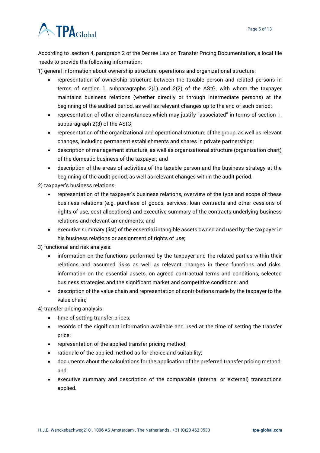

According to section 4, paragraph 2 of the Decree Law on Transfer Pricing Documentation, a local file needs to provide the following information:

1) general information about ownership structure, operations and organizational structure:

- representation of ownership structure between the taxable person and related persons in terms of section 1, subparagraphs 2(1) and 2(2) of the AStG, with whom the taxpayer maintains business relations (whether directly or through intermediate persons) at the beginning of the audited period, as well as relevant changes up to the end of such period;
- representation of other circumstances which may justify "associated" in terms of section 1, subparagraph 2(3) of the AStG;
- representation of the organizational and operational structure of the group, as well as relevant changes, including permanent establishments and shares in private partnerships;
- description of management structure, as well as organizational structure (organization chart) of the domestic business of the taxpayer; and
- description of the areas of activities of the taxable person and the business strategy at the beginning of the audit period, as well as relevant changes within the audit period.

2) taxpayer's business relations:

- representation of the taxpayer's business relations, overview of the type and scope of these business relations (e.g. purchase of goods, services, loan contracts and other cessions of rights of use, cost allocations) and executive summary of the contracts underlying business relations and relevant amendments; and
- executive summary (list) of the essential intangible assets owned and used by the taxpayer in his business relations or assignment of rights of use;

3) functional and risk analysis:

- information on the functions performed by the taxpayer and the related parties within their relations and assumed risks as well as relevant changes in these functions and risks, information on the essential assets, on agreed contractual terms and conditions, selected business strategies and the significant market and competitive conditions; and
- description of the value chain and representation of contributions made by the taxpayer to the value chain;

4) transfer pricing analysis:

- time of setting transfer prices;
- records of the significant information available and used at the time of setting the transfer price;
- representation of the applied transfer pricing method;
- rationale of the applied method as for choice and suitability;
- documents about the calculations for the application of the preferred transfer pricing method; and
- executive summary and description of the comparable (internal or external) transactions applied.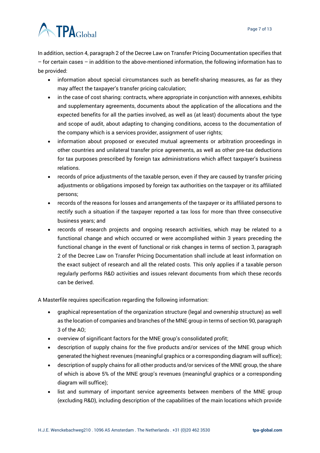# **ATPA**Global

In addition, section 4, paragraph 2 of the Decree Law on Transfer Pricing Documentation specifies that – for certain cases – in addition to the above-mentioned information, the following information has to be provided:

- information about special circumstances such as benefit-sharing measures, as far as they may affect the taxpayer's transfer pricing calculation;
- in the case of cost sharing: contracts, where appropriate in conjunction with annexes, exhibits and supplementary agreements, documents about the application of the allocations and the expected benefits for all the parties involved, as well as (at least) documents about the type and scope of audit, about adapting to changing conditions, access to the documentation of the company which is a services provider, assignment of user rights;
- information about proposed or executed mutual agreements or arbitration proceedings in other countries and unilateral transfer price agreements, as well as other pre-tax deductions for tax purposes prescribed by foreign tax administrations which affect taxpayer's business relations.
- records of price adjustments of the taxable person, even if they are caused by transfer pricing adjustments or obligations imposed by foreign tax authorities on the taxpayer or its affiliated persons;
- records of the reasons for losses and arrangements of the taxpayer or its affiliated persons to rectify such a situation if the taxpayer reported a tax loss for more than three consecutive business years; and
- records of research projects and ongoing research activities, which may be related to a functional change and which occurred or were accomplished within 3 years preceding the functional change in the event of functional or risk changes in terms of section 3, paragraph 2 of the Decree Law on Transfer Pricing Documentation shall include at least information on the exact subject of research and all the related costs. This only applies if a taxable person regularly performs R&D activities and issues relevant documents from which these records can be derived.

A Masterfile requires specification regarding the following information:

- graphical representation of the organization structure (legal and ownership structure) as well as the location of companies and branches of the MNE group in terms of section 90, paragraph 3 of the AO;
- overview of significant factors for the MNE group's consolidated profit;
- description of supply chains for the five products and/or services of the MNE group which generated the highest revenues (meaningful graphics or a corresponding diagram will suffice);
- description of supply chains for all other products and/or services of the MNE group, the share of which is above 5% of the MNE group's revenues (meaningful graphics or a corresponding diagram will suffice);
- list and summary of important service agreements between members of the MNE group (excluding R&D), including description of the capabilities of the main locations which provide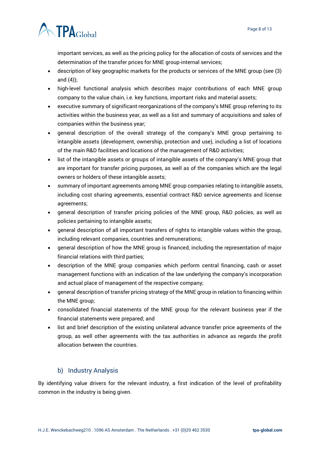

important services, as well as the pricing policy for the allocation of costs of services and the determination of the transfer prices for MNE group-internal services;

- description of key geographic markets for the products or services of the MNE group (see (3) and (4));
- high-level functional analysis which describes major contributions of each MNE group company to the value chain, i.e. key functions, important risks and material assets;
- executive summary of significant reorganizations of the company's MNE group referring to its activities within the business year, as well as a list and summary of acquisitions and sales of companies within the business year;
- general description of the overall strategy of the company's MNE group pertaining to intangible assets (development, ownership, protection and use), including a list of locations of the main R&D facilities and locations of the management of R&D activities;
- list of the intangible assets or groups of intangible assets of the company's MNE group that are important for transfer pricing purposes, as well as of the companies which are the legal owners or holders of these intangible assets;
- summary of important agreements among MNE group companies relating to intangible assets, including cost sharing agreements, essential contract R&D service agreements and license agreements;
- general description of transfer pricing policies of the MNE group, R&D policies, as well as policies pertaining to intangible assets;
- general description of all important transfers of rights to intangible values within the group, including relevant companies, countries and remunerations;
- general description of how the MNE group is financed, including the representation of major financial relations with third parties;
- description of the MNE group companies which perform central financing, cash or asset management functions with an indication of the law underlying the company's incorporation and actual place of management of the respective company;
- general description of transfer pricing strategy of the MNE group in relation to financing within the MNE group;
- consolidated financial statements of the MNE group for the relevant business year if the financial statements were prepared; and
- list and brief description of the existing unilateral advance transfer price agreements of the group, as well other agreements with the tax authorities in advance as regards the profit allocation between the countries.

# b) Industry Analysis

<span id="page-7-0"></span>By identifying value drivers for the relevant industry, a first indication of the level of profitability common in the industry is being given.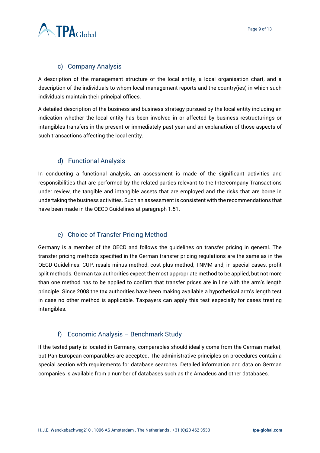

### c) Company Analysis

<span id="page-8-0"></span>A description of the management structure of the local entity, a local organisation chart, and a description of the individuals to whom local management reports and the country(ies) in which such individuals maintain their principal offices.

A detailed description of the business and business strategy pursued by the local entity including an indication whether the local entity has been involved in or affected by business restructurings or intangibles transfers in the present or immediately past year and an explanation of those aspects of such transactions affecting the local entity.

### d) Functional Analysis

<span id="page-8-1"></span>In conducting a functional analysis, an assessment is made of the significant activities and responsibilities that are performed by the related parties relevant to the Intercompany Transactions under review, the tangible and intangible assets that are employed and the risks that are borne in undertaking the business activities. Such an assessment is consistent with the recommendations that have been made in the OECD Guidelines at paragraph 1.51.

### e) Choice of Transfer Pricing Method

<span id="page-8-2"></span>Germany is a member of the OECD and follows the guidelines on transfer pricing in general. The transfer pricing methods specified in the German transfer pricing regulations are the same as in the OECD Guidelines: CUP, resale minus method, cost plus method, TNMM and, in special cases, profit split methods. German tax authorities expect the most appropriate method to be applied, but not more than one method has to be applied to confirm that transfer prices are in line with the arm's length principle. Since 2008 the tax authorities have been making available a hypothetical arm's length test in case no other method is applicable. Taxpayers can apply this test especially for cases treating intangibles.

### f) Economic Analysis – Benchmark Study

<span id="page-8-3"></span>If the tested party is located in Germany, comparables should ideally come from the German market, but Pan-European comparables are accepted. The administrative principles on procedures contain a special section with requirements for database searches. Detailed information and data on German companies is available from a number of databases such as the Amadeus and other databases.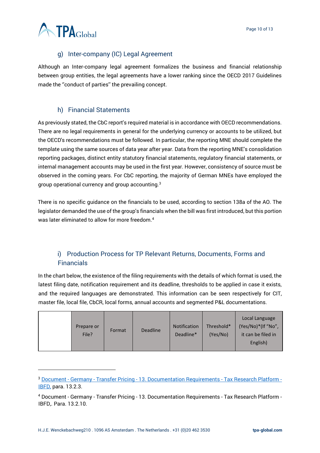

# g) Inter-company (IC) Legal Agreement

<span id="page-9-0"></span>Although an Inter-company legal agreement formalizes the business and financial relationship between group entities, the legal agreements have a lower ranking since the OECD 2017 Guidelines made the ''conduct of parties'' the prevailing concept.

## h) Financial Statements

<span id="page-9-1"></span>As previously stated, the CbC report's required material is in accordance with OECD recommendations. There are no legal requirements in general for the underlying currency or accounts to be utilized, but the OECD's recommendations must be followed. In particular, the reporting MNE should complete the template using the same sources of data year after year. Data from the reporting MNE's consolidation reporting packages, distinct entity statutory financial statements, regulatory financial statements, or internal management accounts may be used in the first year. However, consistency of source must be observed in the coming years. For CbC reporting, the majority of German MNEs have employed the group operational currency and group accounting.<sup>3</sup>

There is no specific guidance on the financials to be used, according to section 138a of the AO. The legislator demanded the use of the group's financials when the bill was first introduced, but this portion was later eliminated to allow for more freedom.<sup>4</sup>

# <span id="page-9-2"></span>i) Production Process for TP Relevant Returns, Documents, Forms and Financials

In the chart below, the existence of the filing requirements with the details of which format is used, the latest filing date, notification requirement and its deadline, thresholds to be applied in case it exists, and the required languages are demonstrated. This information can be seen respectively for CIT, master file, local file, CbCR, local forms, annual accounts and segmented P&L documentations.

| Prepare or<br>File? | Format | <b>Deadline</b> | <b>Notification</b><br>Deadline* | Threshold*<br>(Yes/No) | Local Language<br>(Yes/No)*(If "No",<br>it can be filed in<br>English) |
|---------------------|--------|-----------------|----------------------------------|------------------------|------------------------------------------------------------------------|
|---------------------|--------|-----------------|----------------------------------|------------------------|------------------------------------------------------------------------|

<sup>3</sup> Document - Germany - Transfer Pricing - [13. Documentation Requirements -](https://research.ibfd.org/#/doc?url=/linkresolver/static/tp_de_s_13.&refresh=1640345316469%23tp_de_s_13.) Tax Research Platform - [IBFD,](https://research.ibfd.org/#/doc?url=/linkresolver/static/tp_de_s_13.&refresh=1640345316469%23tp_de_s_13.) para. 13.2.3.

<sup>4</sup> Document - Germany - Transfer Pricing - 13. Documentation Requirements - Tax Research Platform - IBFD,. Para. 13.2.10.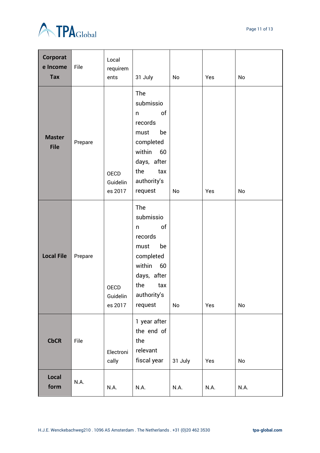

Page 11 of 13



| Corporat<br>e Income<br><b>Tax</b> | File    | Local<br>requirem<br>ents          | 31 July                                                                                                                                  | No      | Yes  | <b>No</b> |
|------------------------------------|---------|------------------------------------|------------------------------------------------------------------------------------------------------------------------------------------|---------|------|-----------|
| <b>Master</b><br><b>File</b>       | Prepare | <b>OECD</b><br>Guidelin<br>es 2017 | The<br>submissio<br>of<br>n<br>records<br>be<br>must<br>completed<br>within<br>60<br>days, after<br>the<br>tax<br>authority's<br>request | No      | Yes  | No        |
| <b>Local File</b>                  | Prepare | <b>OECD</b><br>Guidelin<br>es 2017 | The<br>submissio<br>of<br>n<br>records<br>be<br>must<br>completed<br>within<br>60<br>days, after<br>the<br>tax<br>authority's<br>request | No      | Yes  | No        |
| <b>CbCR</b>                        | File    | Electroni<br>cally                 | 1 year after<br>the end of<br>the<br>relevant<br>fiscal year                                                                             | 31 July | Yes  | No        |
| Local<br>form                      | N.A.    | N.A.                               | N.A.                                                                                                                                     | N.A.    | N.A. | N.A.      |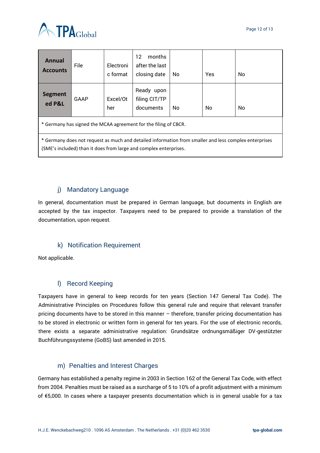

| <b>Annual</b><br><b>Accounts</b>                                                                                                                                           | File | Electroni<br>c format | months<br>12<br>after the last<br>closing date | No | Yes | No |  |
|----------------------------------------------------------------------------------------------------------------------------------------------------------------------------|------|-----------------------|------------------------------------------------|----|-----|----|--|
| <b>Segment</b><br>ed P&L                                                                                                                                                   | GAAP | Excel/Ot<br>her       | Ready upon<br>filing CIT/TP<br>documents       | No | No  | No |  |
| * Germany has signed the MCAA agreement for the filing of CBCR.                                                                                                            |      |                       |                                                |    |     |    |  |
| * Germany does not request as much and detailed information from smaller and less complex enterprises<br>(SME's included) than it does from large and complex enterprises. |      |                       |                                                |    |     |    |  |

### j) Mandatory Language

<span id="page-11-0"></span>In general, documentation must be prepared in German language, but documents in English are accepted by the tax inspector. Taxpayers need to be prepared to provide a translation of the documentation, upon request.

### k) Notification Requirement

<span id="page-11-1"></span>Not applicable.

### l) Record Keeping

<span id="page-11-2"></span>Taxpayers have in general to keep records for ten years (Section 147 General Tax Code). The Administrative Principles on Procedures follow this general rule and require that relevant transfer pricing documents have to be stored in this manner – therefore, transfer pricing documentation has to be stored in electronic or written form in general for ten years. For the use of electronic records, there exists a separate administrative regulation: Grundsätze ordnungsmäßiger DV-gestützter Buchführungssysteme (GoBS) last amended in 2015.

### m) Penalties and Interest Charges

<span id="page-11-3"></span>Germany has established a penalty regime in 2003 in Section 162 of the General Tax Code, with effect from 2004. Penalties must be raised as a surcharge of 5 to 10% of a profit adjustment with a minimum of €5,000. In cases where a taxpayer presents documentation which is in general usable for a tax